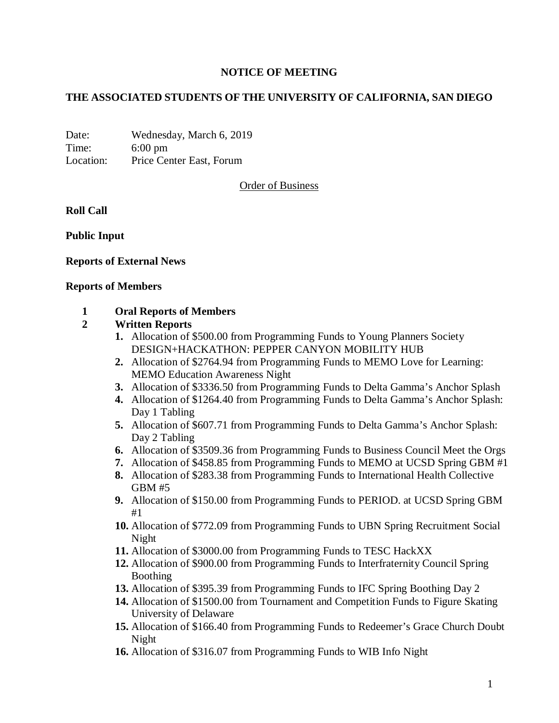## **NOTICE OF MEETING**

## **THE ASSOCIATED STUDENTS OF THE UNIVERSITY OF CALIFORNIA, SAN DIEGO**

Date: Wednesday, March 6, 2019 Time: 6:00 pm Location: Price Center East, Forum

Order of Business

**Roll Call**

**Public Input**

### **Reports of External News**

#### **Reports of Members**

### **1 Oral Reports of Members**

### **2 Written Reports**

- **1.** Allocation of \$500.00 from Programming Funds to Young Planners Society DESIGN+HACKATHON: PEPPER CANYON MOBILITY HUB
- **2.** Allocation of \$2764.94 from Programming Funds to MEMO Love for Learning: MEMO Education Awareness Night
- **3.** Allocation of \$3336.50 from Programming Funds to Delta Gamma's Anchor Splash
- **4.** Allocation of \$1264.40 from Programming Funds to Delta Gamma's Anchor Splash: Day 1 Tabling
- **5.** Allocation of \$607.71 from Programming Funds to Delta Gamma's Anchor Splash: Day 2 Tabling
- **6.** Allocation of \$3509.36 from Programming Funds to Business Council Meet the Orgs
- **7.** Allocation of \$458.85 from Programming Funds to MEMO at UCSD Spring GBM #1
- **8.** Allocation of \$283.38 from Programming Funds to International Health Collective GBM #5
- **9.** Allocation of \$150.00 from Programming Funds to PERIOD. at UCSD Spring GBM #1
- **10.** Allocation of \$772.09 from Programming Funds to UBN Spring Recruitment Social Night
- **11.** Allocation of \$3000.00 from Programming Funds to TESC HackXX
- **12.** Allocation of \$900.00 from Programming Funds to Interfraternity Council Spring Boothing
- **13.** Allocation of \$395.39 from Programming Funds to IFC Spring Boothing Day 2
- **14.** Allocation of \$1500.00 from Tournament and Competition Funds to Figure Skating University of Delaware
- **15.** Allocation of \$166.40 from Programming Funds to Redeemer's Grace Church Doubt Night
- **16.** Allocation of \$316.07 from Programming Funds to WIB Info Night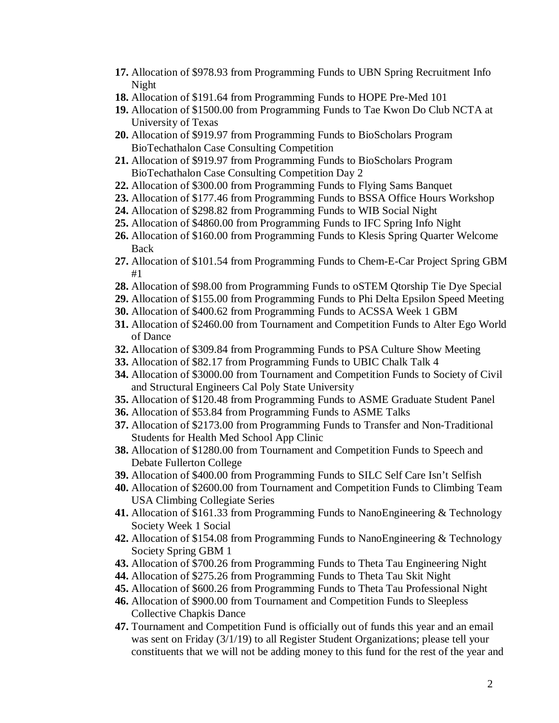- **17.** Allocation of \$978.93 from Programming Funds to UBN Spring Recruitment Info Night
- **18.** Allocation of \$191.64 from Programming Funds to HOPE Pre-Med 101
- **19.** Allocation of \$1500.00 from Programming Funds to Tae Kwon Do Club NCTA at University of Texas
- **20.** Allocation of \$919.97 from Programming Funds to BioScholars Program BioTechathalon Case Consulting Competition
- **21.** Allocation of \$919.97 from Programming Funds to BioScholars Program BioTechathalon Case Consulting Competition Day 2
- **22.** Allocation of \$300.00 from Programming Funds to Flying Sams Banquet
- **23.** Allocation of \$177.46 from Programming Funds to BSSA Office Hours Workshop
- **24.** Allocation of \$298.82 from Programming Funds to WIB Social Night
- **25.** Allocation of \$4860.00 from Programming Funds to IFC Spring Info Night
- **26.** Allocation of \$160.00 from Programming Funds to Klesis Spring Quarter Welcome Back
- **27.** Allocation of \$101.54 from Programming Funds to Chem-E-Car Project Spring GBM #1
- **28.** Allocation of \$98.00 from Programming Funds to oSTEM Qtorship Tie Dye Special
- **29.** Allocation of \$155.00 from Programming Funds to Phi Delta Epsilon Speed Meeting
- **30.** Allocation of \$400.62 from Programming Funds to ACSSA Week 1 GBM
- **31.** Allocation of \$2460.00 from Tournament and Competition Funds to Alter Ego World of Dance
- **32.** Allocation of \$309.84 from Programming Funds to PSA Culture Show Meeting
- **33.** Allocation of \$82.17 from Programming Funds to UBIC Chalk Talk 4
- **34.** Allocation of \$3000.00 from Tournament and Competition Funds to Society of Civil and Structural Engineers Cal Poly State University
- **35.** Allocation of \$120.48 from Programming Funds to ASME Graduate Student Panel
- **36.** Allocation of \$53.84 from Programming Funds to ASME Talks
- **37.** Allocation of \$2173.00 from Programming Funds to Transfer and Non-Traditional Students for Health Med School App Clinic
- **38.** Allocation of \$1280.00 from Tournament and Competition Funds to Speech and Debate Fullerton College
- **39.** Allocation of \$400.00 from Programming Funds to SILC Self Care Isn't Selfish
- **40.** Allocation of \$2600.00 from Tournament and Competition Funds to Climbing Team USA Climbing Collegiate Series
- **41.** Allocation of \$161.33 from Programming Funds to NanoEngineering & Technology Society Week 1 Social
- **42.** Allocation of \$154.08 from Programming Funds to NanoEngineering & Technology Society Spring GBM 1
- **43.** Allocation of \$700.26 from Programming Funds to Theta Tau Engineering Night
- **44.** Allocation of \$275.26 from Programming Funds to Theta Tau Skit Night
- **45.** Allocation of \$600.26 from Programming Funds to Theta Tau Professional Night
- **46.** Allocation of \$900.00 from Tournament and Competition Funds to Sleepless Collective Chapkis Dance
- **47.** Tournament and Competition Fund is officially out of funds this year and an email was sent on Friday (3/1/19) to all Register Student Organizations; please tell your constituents that we will not be adding money to this fund for the rest of the year and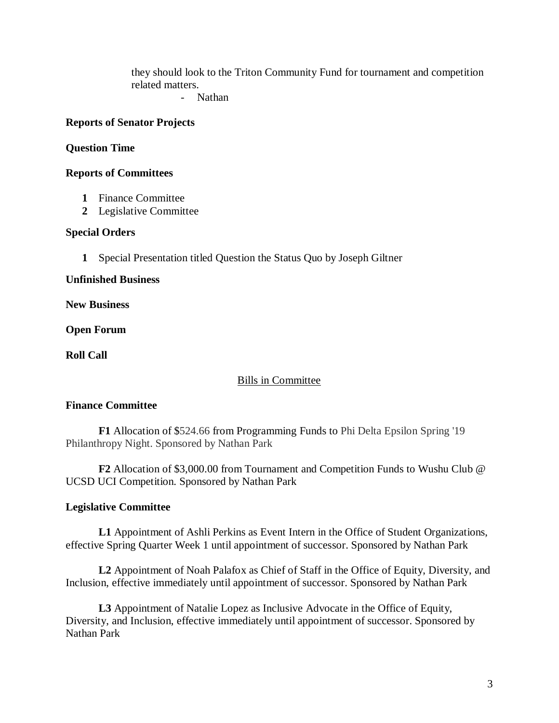they should look to the Triton Community Fund for tournament and competition related matters.

- Nathan

### **Reports of Senator Projects**

### **Question Time**

### **Reports of Committees**

- **1** Finance Committee
- **2** Legislative Committee

### **Special Orders**

**1** Special Presentation titled Question the Status Quo by Joseph Giltner

**Unfinished Business**

**New Business**

**Open Forum**

**Roll Call**

### Bills in Committee

# **Finance Committee**

**F1** Allocation of \$524.66 from Programming Funds to Phi Delta Epsilon Spring '19 Philanthropy Night. Sponsored by Nathan Park

**F2** Allocation of \$3,000.00 from Tournament and Competition Funds to Wushu Club @ UCSD UCI Competition. Sponsored by Nathan Park

# **Legislative Committee**

**L1** Appointment of Ashli Perkins as Event Intern in the Office of Student Organizations, effective Spring Quarter Week 1 until appointment of successor. Sponsored by Nathan Park

**L2** Appointment of Noah Palafox as Chief of Staff in the Office of Equity, Diversity, and Inclusion, effective immediately until appointment of successor. Sponsored by Nathan Park

**L3** Appointment of Natalie Lopez as Inclusive Advocate in the Office of Equity, Diversity, and Inclusion, effective immediately until appointment of successor. Sponsored by Nathan Park